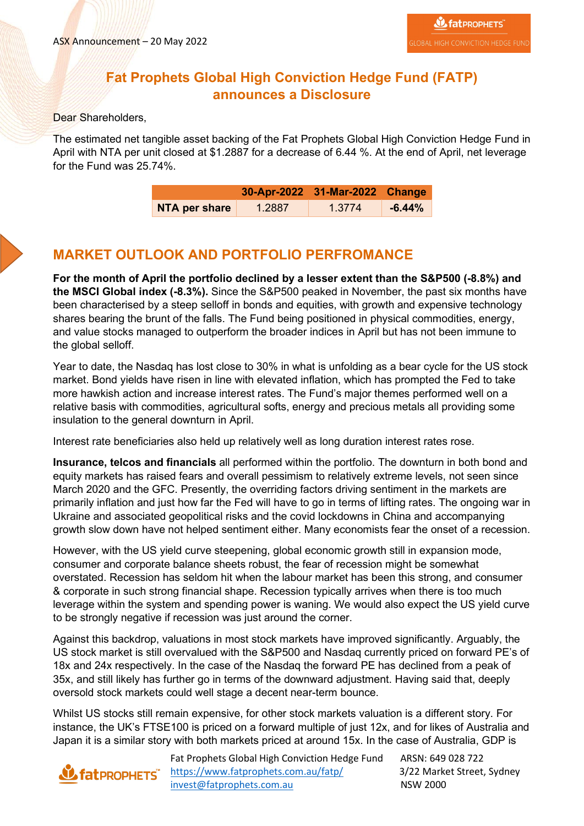## **Fat Prophets Global High Conviction Hedge Fund (FATP) announces a Disclosure**

#### Dear Shareholders,

The estimated net tangible asset backing of the Fat Prophets Global High Conviction Hedge Fund in April with NTA per unit closed at \$1.2887 for a decrease of 6.44 %. At the end of April, net leverage for the Fund was 25.74%.

|               |        | 30-Apr-2022 31-Mar-2022 Change |          |
|---------------|--------|--------------------------------|----------|
| NTA per share | 1.2887 | 1.3774                         | $-6.44%$ |

#### **MARKET OUTLOOK AND PORTFOLIO PERFROMANCE**

**For the month of April the portfolio declined by a lesser extent than the S&P500 (-8.8%) and the MSCI Global index (-8.3%).** Since the S&P500 peaked in November, the past six months have been characterised by a steep selloff in bonds and equities, with growth and expensive technology shares bearing the brunt of the falls. The Fund being positioned in physical commodities, energy, and value stocks managed to outperform the broader indices in April but has not been immune to the global selloff.

Year to date, the Nasdaq has lost close to 30% in what is unfolding as a bear cycle for the US stock market. Bond yields have risen in line with elevated inflation, which has prompted the Fed to take more hawkish action and increase interest rates. The Fund's major themes performed well on a relative basis with commodities, agricultural softs, energy and precious metals all providing some insulation to the general downturn in April.

Interest rate beneficiaries also held up relatively well as long duration interest rates rose.

**Insurance, telcos and financials** all performed within the portfolio. The downturn in both bond and equity markets has raised fears and overall pessimism to relatively extreme levels, not seen since March 2020 and the GFC. Presently, the overriding factors driving sentiment in the markets are primarily inflation and just how far the Fed will have to go in terms of lifting rates. The ongoing war in Ukraine and associated geopolitical risks and the covid lockdowns in China and accompanying growth slow down have not helped sentiment either. Many economists fear the onset of a recession.

However, with the US yield curve steepening, global economic growth still in expansion mode, consumer and corporate balance sheets robust, the fear of recession might be somewhat overstated. Recession has seldom hit when the labour market has been this strong, and consumer & corporate in such strong financial shape. Recession typically arrives when there is too much leverage within the system and spending power is waning. We would also expect the US yield curve to be strongly negative if recession was just around the corner.

Against this backdrop, valuations in most stock markets have improved significantly. Arguably, the US stock market is still overvalued with the S&P500 and Nasdaq currently priced on forward PE's of 18x and 24x respectively. In the case of the Nasdaq the forward PE has declined from a peak of 35x, and still likely has further go in terms of the downward adjustment. Having said that, deeply oversold stock markets could well stage a decent near-term bounce.

Whilst US stocks still remain expensive, for other stock markets valuation is a different story. For instance, the UK's FTSE100 is priced on a forward multiple of just 12x, and for likes of Australia and Japan it is a similar story with both markets priced at around 15x. In the case of Australia, GDP is

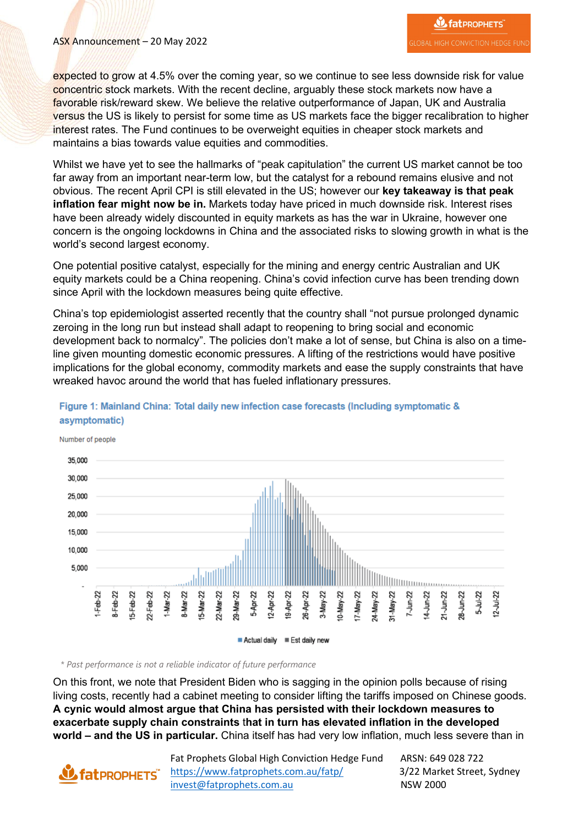#### ASX Announcement – 20 May 2022

expected to grow at 4.5% over the coming year, so we continue to see less downside risk for value concentric stock markets. With the recent decline, arguably these stock markets now have a favorable risk/reward skew. We believe the relative outperformance of Japan, UK and Australia versus the US is likely to persist for some time as US markets face the bigger recalibration to higher interest rates. The Fund continues to be overweight equities in cheaper stock markets and maintains a bias towards value equities and commodities.

Whilst we have yet to see the hallmarks of "peak capitulation" the current US market cannot be too far away from an important near-term low, but the catalyst for a rebound remains elusive and not obvious. The recent April CPI is still elevated in the US; however our **key takeaway is that peak inflation fear might now be in.** Markets today have priced in much downside risk. Interest rises have been already widely discounted in equity markets as has the war in Ukraine, however one concern is the ongoing lockdowns in China and the associated risks to slowing growth in what is the world's second largest economy.

One potential positive catalyst, especially for the mining and energy centric Australian and UK equity markets could be a China reopening. China's covid infection curve has been trending down since April with the lockdown measures being quite effective.

China's top epidemiologist asserted recently that the country shall "not pursue prolonged dynamic zeroing in the long run but instead shall adapt to reopening to bring social and economic development back to normalcy". The policies don't make a lot of sense, but China is also on a timeline given mounting domestic economic pressures. A lifting of the restrictions would have positive implications for the global economy, commodity markets and ease the supply constraints that have wreaked havoc around the world that has fueled inflationary pressures.



Figure 1: Mainland China: Total daily new infection case forecasts (Including symptomatic & asymptomatic)

Number of people

*\* Past performance is not a reliable indicator of future performance*

On this front, we note that President Biden who is sagging in the opinion polls because of rising living costs, recently had a cabinet meeting to consider lifting the tariffs imposed on Chinese goods. **A cynic would almost argue that China has persisted with their lockdown measures to exacerbate supply chain constraints** t**hat in turn has elevated inflation in the developed world – and the US in particular.** China itself has had very low inflation, much less severe than in

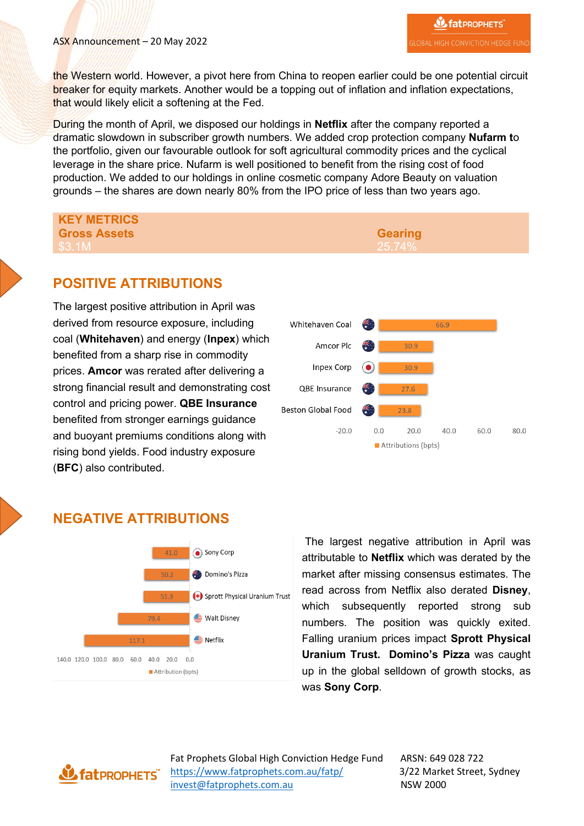the Western world. However, a pivot here from China to reopen earlier could be one potential circuit breaker for equity markets. Another would be a topping out of inflation and inflation expectations, that would likely elicit a softening at the Fed.

During the month of April, we disposed our holdings in **Netflix** after the company reported a dramatic slowdown in subscriber growth numbers. We added crop protection company **Nufarm t**o the portfolio, given our favourable outlook for soft agricultural commodity prices and the cyclical leverage in the share price. Nufarm is well positioned to benefit from the rising cost of food production. We added to our holdings in online cosmetic company Adore Beauty on valuation grounds – the shares are down nearly 80% from the IPO price of less than two years ago.

# **KEY METRICS Gross Assets Gearing**

## **POSITIVE ATTRIBUTIONS**

The largest positive attribution in April was derived from resource exposure, including coal (**Whitehaven**) and energy (**Inpex**) which benefited from a sharp rise in commodity prices. **Amcor** was rerated after delivering a strong financial result and demonstrating cost control and pricing power. **QBE Insurance** benefited from stronger earnings guidance and buoyant premiums conditions along with rising bond yields. Food industry exposure (**BFC**) also contributed.



# **NEGATIVE ATTRIBUTIONS**



The largest negative attribution in April was attributable to **Netflix** which was derated by the market after missing consensus estimates. The read across from Netflix also derated **Disney**, which subsequently reported strong sub numbers. The position was quickly exited. Falling uranium prices impact **Sprott Physical Uranium Trust. Domino's Pizza** was caught up in the global selldown of growth stocks, as was **Sony Corp**.

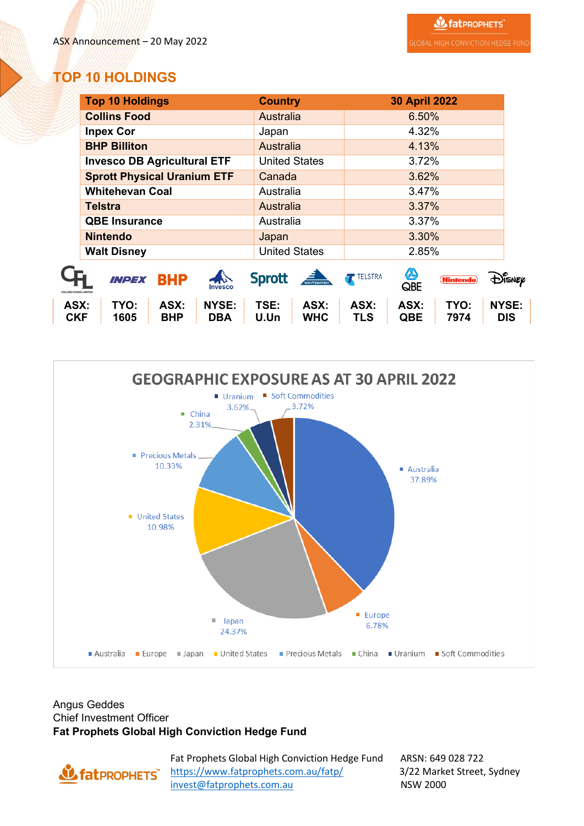# **TOP 10 HOLDINGS**

|                             | <b>Top 10 Holdings</b>                                    | <b>Country</b>                     | <b>30 April 2022</b>                                     |                            |
|-----------------------------|-----------------------------------------------------------|------------------------------------|----------------------------------------------------------|----------------------------|
|                             | <b>Collins Food</b>                                       | <b>Australia</b>                   | 6.50%                                                    |                            |
|                             | <b>Inpex Cor</b>                                          | Japan                              | 4.32%                                                    |                            |
|                             | <b>BHP Billiton</b>                                       | <b>Australia</b>                   | 4.13%                                                    |                            |
|                             | <b>Invesco DB Agricultural ETF</b>                        | <b>United States</b>               | 3.72%                                                    |                            |
|                             | <b>Sprott Physical Uranium ETF</b>                        | Canada                             | 3.62%                                                    |                            |
|                             | <b>Whitehevan Coal</b>                                    | Australia                          | 3.47%                                                    |                            |
|                             | <b>Telstra</b>                                            | Australia                          | 3.37%                                                    |                            |
|                             | <b>QBE Insurance</b>                                      | Australia                          | 3.37%                                                    |                            |
|                             | <b>Nintendo</b>                                           | Japan                              | 3.30%                                                    |                            |
|                             | <b>Walt Disney</b>                                        | <b>United States</b>               | 2.85%                                                    |                            |
| <b>DLLINS FOODS LIMITED</b> | 心<br><b>BHP</b><br>INPEX<br>Invesco                       | <b>Sprott</b><br>WHITEHAVEN        | A<br><b>TELSTRA</b><br>(Nintendo)<br>QBE                 | DISNEP                     |
| ASX:<br><b>CKF</b>          | <b>NYSE:</b><br>TYO:<br>ASX:<br>1605<br><b>BHP</b><br>DBA | TSE:<br>ASX:<br><b>WHC</b><br>U.Un | TYO:<br>ASX:<br>ASX:<br><b>TLS</b><br><b>QBE</b><br>7974 | <b>NYSE:</b><br><b>DIS</b> |



#### Angus Geddes Chief Investment Officer **Fat Prophets Global High Conviction Hedge Fund**